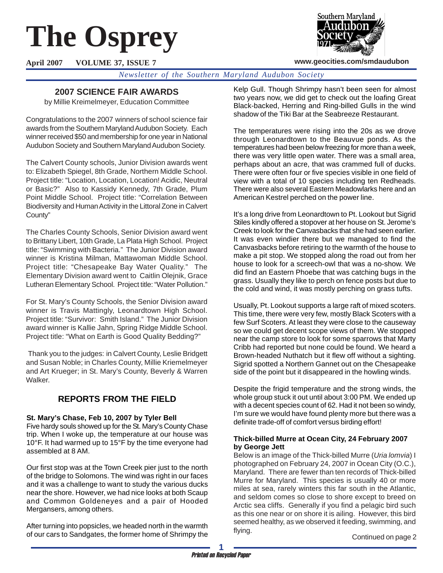# **The Osprey**



**www.geocities.com/smdaudubon**

#### **April 2007 VOLUME 37, ISSUE 7**

*Newsletter of the Southern Maryland Audubon Society*

## **2007 SCIENCE FAIR AWARDS**

by Millie Kreimelmeyer, Education Committee

Congratulations to the 2007 winners of school science fair awards from the Southern Maryland Audubon Society. Each winner received \$50 and membership for one year in National Audubon Society and Southern Maryland Audubon Society.

The Calvert County schools, Junior Division awards went to: Elizabeth Spiegel, 8th Grade, Northern Middle School. Project title: "Location, Location, Location! Acidic, Neutral or Basic?" Also to Kassidy Kennedy, 7th Grade, Plum Point Middle School. Project title: "Correlation Between Biodiversity and Human Activity in the Littoral Zone in Calvert County"

The Charles County Schools, Senior Division award went to Brittany Libert, 10th Grade, La Plata High School. Project title: "Swimming with Bacteria." The Junior Division award winner is Kristina Milman, Mattawoman Middle School. Project title: "Chesapeake Bay Water Quality." The Elementary Division award went to Caitlin Olejnik, Grace Lutheran Elementary School. Project title: "Water Pollution."

For St. Mary's County Schools, the Senior Division award winner is Travis Mattingly, Leonardtown High School. Project title: "Survivor: Smith Island." The Junior Division award winner is Kallie Jahn, Spring Ridge Middle School. Project title: "What on Earth is Good Quality Bedding?"

 Thank you to the judges: in Calvert County, Leslie Bridgett and Susan Noble; in Charles County, Millie Kriemelmeyer and Art Krueger; in St. Mary's County, Beverly & Warren Walker.

# **REPORTS FROM THE FIELD**

#### **St. Mary's Chase, Feb 10, 2007 by Tyler Bell**

Five hardy souls showed up for the St. Mary's County Chase trip. When I woke up, the temperature at our house was 10°F. It had warmed up to 15°F by the time everyone had assembled at 8 AM.

Our first stop was at the Town Creek pier just to the north of the bridge to Solomons. The wind was right in our faces and it was a challenge to want to study the various ducks near the shore. However, we had nice looks at both Scaup and Common Goldeneyes and a pair of Hooded Mergansers, among others.

After turning into popsicles, we headed north in the warmth of our cars to Sandgates, the former home of Shrimpy the

Kelp Gull. Though Shrimpy hasn't been seen for almost two years now, we did get to check out the loafing Great Black-backed, Herring and Ring-billed Gulls in the wind shadow of the Tiki Bar at the Seabreeze Restaurant.

The temperatures were rising into the 20s as we drove through Leonardtown to the Beauvue ponds. As the temperatures had been below freezing for more than a week, there was very little open water. There was a small area, perhaps about an acre, that was crammed full of ducks. There were often four or five species visible in one field of view with a total of 10 species including ten Redheads. There were also several Eastern Meadowlarks here and an American Kestrel perched on the power line.

It's a long drive from Leonardtown to Pt. Lookout but Sigrid Stiles kindly offered a stopover at her house on St. Jerome's Creek to look for the Canvasbacks that she had seen earlier. It was even windier there but we managed to find the Canvasbacks before retiring to the warmth of the house to make a pit stop. We stopped along the road out from her house to look for a screech-owl that was a no-show. We did find an Eastern Phoebe that was catching bugs in the grass. Usually they like to perch on fence posts but due to the cold and wind, it was mostly perching on grass tufts.

Usually, Pt. Lookout supports a large raft of mixed scoters. This time, there were very few, mostly Black Scoters with a few Surf Scoters. At least they were close to the causeway so we could get decent scope views of them. We stopped near the camp store to look for some sparrows that Marty Cribb had reported but none could be found. We heard a Brown-headed Nuthatch but it flew off without a sighting. Sigrid spotted a Northern Gannet out on the Chesapeake side of the point but it disappeared in the howling winds.

Despite the frigid temperature and the strong winds, the whole group stuck it out until about 3:00 PM. We ended up with a decent species count of 62. Had it not been so windy, I'm sure we would have found plenty more but there was a definite trade-off of comfort versus birding effort!

#### **Thick-billed Murre at Ocean City, 24 February 2007 by George Jett**

Below is an image of the Thick-billed Murre (*Uria lomvia*) I photographed on February 24, 2007 in Ocean City (O.C.), Maryland. There are fewer than ten records of Thick-billed Murre for Maryland. This species is usually 40 or more miles at sea, rarely winters this far south in the Atlantic, and seldom comes so close to shore except to breed on Arctic sea cliffs. Generally if you find a pelagic bird such as this one near or on shore it is ailing. However, this bird seemed healthy, as we observed it feeding, swimming, and flying. Continued on page 2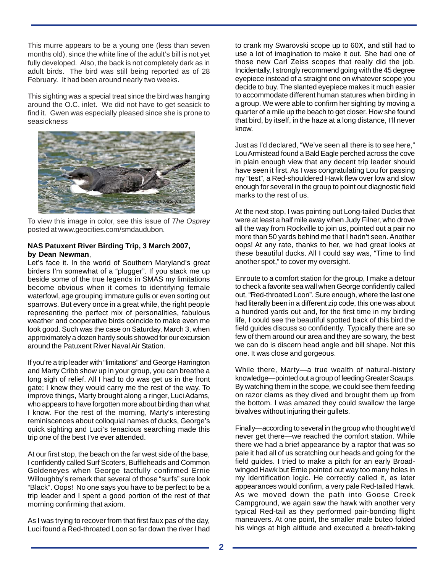This murre appears to be a young one (less than seven months old), since the white line of the adult's bill is not yet fully developed. Also, the back is not completely dark as in adult birds. The bird was still being reported as of 28 February. It had been around nearly two weeks.

This sighting was a special treat since the bird was hanging around the O.C. inlet. We did not have to get seasick to find it. Gwen was especially pleased since she is prone to seasickness



To view this image in color, see this issue of *The Osprey* posted at www.geocities.com/smdaudubon.

#### **NAS Patuxent River Birding Trip, 3 March 2007, by Dean Newman**,

Let's face it. In the world of Southern Maryland's great birders I'm somewhat of a "plugger". If you stack me up beside some of the true legends in SMAS my limitations become obvious when it comes to identifying female waterfowl, age grouping immature gulls or even sorting out sparrows. But every once in a great while, the right people representing the perfect mix of personalities, fabulous weather and cooperative birds coincide to make even me look good. Such was the case on Saturday, March 3, when approximately a dozen hardy souls showed for our excursion around the Patuxent River Naval Air Station.

If you're a trip leader with "limitations" and George Harrington and Marty Cribb show up in your group, you can breathe a long sigh of relief. All I had to do was get us in the front gate; I knew they would carry me the rest of the way. To improve things, Marty brought along a ringer, Luci Adams, who appears to have forgotten more about birding than what I know. For the rest of the morning, Marty's interesting reminiscences about colloquial names of ducks, George's quick sighting and Luci's tenacious searching made this trip one of the best I've ever attended.

At our first stop, the beach on the far west side of the base, I confidently called Surf Scoters, Buffleheads and Common Goldeneyes when George tactfully confirmed Ernie Willoughby's remark that several of those "surfs" sure look "Black". Oops! No one says you have to be perfect to be a trip leader and I spent a good portion of the rest of that morning confirming that axiom.

As I was trying to recover from that first faux pas of the day, Luci found a Red-throated Loon so far down the river I had to crank my Swarovski scope up to 60X, and still had to use a lot of imagination to make it out. She had one of those new Carl Zeiss scopes that really did the job. Incidentally, I strongly recommend going with the 45 degree eyepiece instead of a straight one on whatever scope you decide to buy. The slanted eyepiece makes it much easier to accommodate different human statures when birding in a group. We were able to confirm her sighting by moving a quarter of a mile up the beach to get closer. How she found that bird, by itself, in the haze at a long distance, I'll never know.

Just as I'd declared, "We've seen all there is to see here," Lou Armistead found a Bald Eagle perched across the cove in plain enough view that any decent trip leader should have seen it first. As I was congratulating Lou for passing my "test", a Red-shouldered Hawk flew over low and slow enough for several in the group to point out diagnostic field marks to the rest of us.

At the next stop, I was pointing out Long-tailed Ducks that were at least a half mile away when Judy Filner, who drove all the way from Rockville to join us, pointed out a pair no more than 50 yards behind me that I hadn't seen. Another oops! At any rate, thanks to her, we had great looks at these beautiful ducks. All I could say was, "Time to find another spot," to cover my oversight.

Enroute to a comfort station for the group, I make a detour to check a favorite sea wall when George confidently called out, "Red-throated Loon". Sure enough, where the last one had literally been in a different zip code, this one was about a hundred yards out and, for the first time in my birding life, I could see the beautiful spotted back of this bird the field guides discuss so confidently. Typically there are so few of them around our area and they are so wary, the best we can do is discern head angle and bill shape. Not this one. It was close and gorgeous.

While there, Marty—a true wealth of natural-history knowledge—pointed out a group of feeding Greater Scaups. By watching them in the scope, we could see them feeding on razor clams as they dived and brought them up from the bottom. I was amazed they could swallow the large bivalves without injuring their gullets.

Finally—according to several in the group who thought we'd never get there—we reached the comfort station. While there we had a brief appearance by a raptor that was so pale it had all of us scratching our heads and going for the field guides. I tried to make a pitch for an early Broadwinged Hawk but Ernie pointed out way too many holes in my identification logic. He correctly called it, as later appearances would confirm, a very pale Red-tailed Hawk. As we moved down the path into Goose Creek Campground, we again saw the hawk with another very typical Red-tail as they performed pair-bonding flight maneuvers. At one point, the smaller male buteo folded his wings at high altitude and executed a breath-taking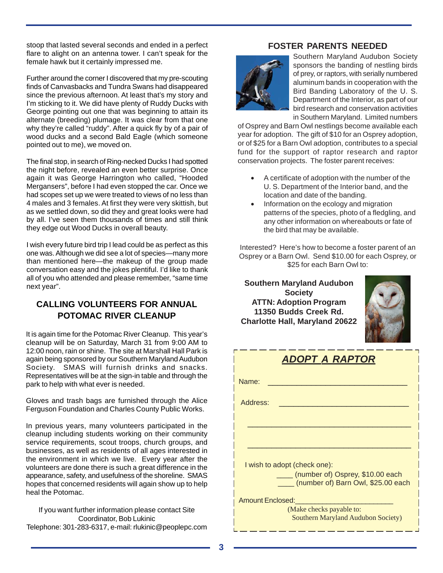stoop that lasted several seconds and ended in a perfect flare to alight on an antenna tower. I can't speak for the female hawk but it certainly impressed me.

Further around the corner I discovered that my pre-scouting finds of Canvasbacks and Tundra Swans had disappeared since the previous afternoon. At least that's my story and I'm sticking to it. We did have plenty of Ruddy Ducks with George pointing out one that was beginning to attain its alternate (breeding) plumage. It was clear from that one why they're called "ruddy". After a quick fly by of a pair of wood ducks and a second Bald Eagle (which someone pointed out to me), we moved on.

The final stop, in search of Ring-necked Ducks I had spotted the night before, revealed an even better surprise. Once again it was George Harrington who called, "Hooded Mergansers", before I had even stopped the car. Once we had scopes set up we were treated to views of no less than 4 males and 3 females. At first they were very skittish, but as we settled down, so did they and great looks were had by all. I've seen them thousands of times and still think they edge out Wood Ducks in overall beauty.

I wish every future bird trip I lead could be as perfect as this one was. Although we did see a lot of species—many more than mentioned here—the makeup of the group made conversation easy and the jokes plentiful. I'd like to thank all of you who attended and please remember, "same time next year".

# **CALLING VOLUNTEERS FOR ANNUAL POTOMAC RIVER CLEANUP**

It is again time for the Potomac River Cleanup. This year's cleanup will be on Saturday, March 31 from 9:00 AM to 12:00 noon, rain or shine. The site at Marshall Hall Park is again being sponsored by our Southern Maryland Audubon Society. SMAS will furnish drinks and snacks. Representatives will be at the sign-in table and through the park to help with what ever is needed.

Gloves and trash bags are furnished through the Alice Ferguson Foundation and Charles County Public Works.

In previous years, many volunteers participated in the cleanup including students working on their community service requirements, scout troops, church groups, and businesses, as well as residents of all ages interested in the environment in which we live. Every year after the volunteers are done there is such a great difference in the appearance, safety, and usefulness of the shoreline. SMAS hopes that concerned residents will again show up to help heal the Potomac.

If you want further information please contact Site Coordinator, Bob Lukinic Telephone: 301-283-6317, e-mail: rlukinic@peoplepc.com

## **FOSTER PARENTS NEEDED**



Southern Maryland Audubon Society sponsors the banding of nestling birds of prey, or raptors, with serially numbered aluminum bands in cooperation with the Bird Banding Laboratory of the U. S. Department of the Interior, as part of our bird research and conservation activities in Southern Maryland. Limited numbers

of Osprey and Barn Owl nestlings become available each year for adoption. The gift of \$10 for an Osprey adoption, or of \$25 for a Barn Owl adoption, contributes to a special fund for the support of raptor research and raptor conservation projects. The foster parent receives:

- A certificate of adoption with the number of the U. S. Department of the Interior band, and the location and date of the banding.
- Information on the ecology and migration patterns of the species, photo of a fledgling, and any other information on whereabouts or fate of the bird that may be available.

Interested? Here's how to become a foster parent of an Osprey or a Barn Owl. Send \$10.00 for each Osprey, or \$25 for each Barn Owl to:

**Southern Maryland Audubon Society ATTN: Adoption Program 11350 Budds Creek Rd. Charlotte Hall, Maryland 20622**



| ADOPT A RAPTOR                                                         |  |
|------------------------------------------------------------------------|--|
| Name:                                                                  |  |
| Address:                                                               |  |
|                                                                        |  |
|                                                                        |  |
| I wish to adopt (check one):                                           |  |
| (number of) Osprey, \$10.00 each<br>(number of) Barn Owl, \$25.00 each |  |
| <b>Amount Enclosed:</b>                                                |  |
| (Make checks payable to:<br><b>Southern Maryland Audubon Society)</b>  |  |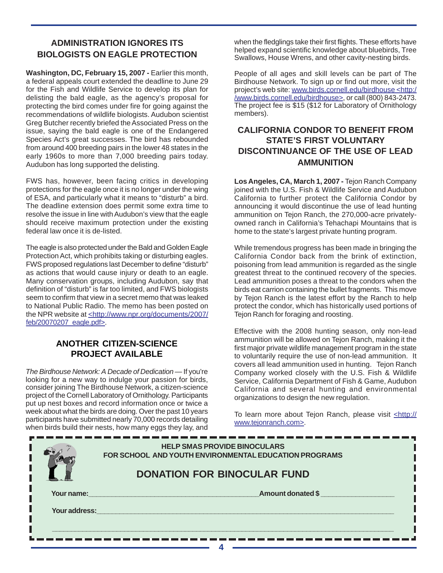# **ADMINISTRATION IGNORES ITS BIOLOGISTS ON EAGLE PROTECTION**

Washington, DC, February 15, 2007 - Earlier this month, a federal appeals court extended the deadline to June 29 for the Fish and Wildlife Service to develop its plan for delisting the bald eagle, as the agency's proposal for protecting the bird comes under fire for going against the recommendations of wildlife biologists. Audubon scientist Greg Butcher recently briefed the Associated Press on the issue, saying the bald eagle is one of the Endangered Species Act's great successes. The bird has rebounded from around 400 breeding pairs in the lower 48 states in the early 1960s to more than 7,000 breeding pairs today. Audubon has long supported the delisting.

FWS has, however, been facing critics in developing protections for the eagle once it is no longer under the wing of ESA, and particularly what it means to "disturb" a bird. The deadline extension does permit some extra time to resolve the issue in line with Audubon's view that the eagle should receive maximum protection under the existing federal law once it is de-listed.

The eagle is also protected under the Bald and Golden Eagle Protection Act, which prohibits taking or disturbing eagles. FWS proposed regulations last December to define "disturb" as actions that would cause injury or death to an eagle. Many conservation groups, including Audubon, say that definition of "disturb" is far too limited, and FWS biologists seem to confirm that view in a secret memo that was leaked to National Public Radio. The memo has been posted on the NPR website at <http://www.npr.org/documents/2007/ feb/20070207\_eagle.pdf>.

## **ANOTHER CITIZEN-SCIENCE PROJECT AVAILABLE**

*The Birdhouse Network: A Decade of Dedication* — If you're looking for a new way to indulge your passion for birds, consider joining The Birdhouse Network, a citizen-science project of the Cornell Laboratory of Ornithology. Participants put up nest boxes and record information once or twice a week about what the birds are doing. Over the past 10 years participants have submitted nearly 70,000 records detailing when birds build their nests, how many eggs they lay, and when the fledglings take their first flights. These efforts have helped expand scientific knowledge about bluebirds, Tree Swallows, House Wrens, and other cavity-nesting birds.

The project fee is \$15 (\$12 for Laboratory of Ornithology People of all ages and skill levels can be part of The Birdhouse Network. To sign up or find out more, visit the project's web site: www.birds.cornell.edu/birdhouse <http:/ /www.birds.cornell.edu/birdhouse>, or call (800) 843-2473. members).

## **CALIFORNIA CONDOR TO BENEFIT FROM STATE'S FIRST VOLUNTARY DISCONTINUANCE OF THE USE OF LEAD AMMUNITION**

**Los Angeles, CA, March 1, 2007 -** Tejon Ranch Company joined with the U.S. Fish & Wildlife Service and Audubon California to further protect the California Condor by announcing it would discontinue the use of lead hunting ammunition on Tejon Ranch, the 270,000-acre privatelyowned ranch in California's Tehachapi Mountains that is home to the state's largest private hunting program.

While tremendous progress has been made in bringing the California Condor back from the brink of extinction, poisoning from lead ammunition is regarded as the single greatest threat to the continued recovery of the species. Lead ammunition poses a threat to the condors when the birds eat carrion containing the bullet fragments. This move by Tejon Ranch is the latest effort by the Ranch to help protect the condor, which has historically used portions of Tejon Ranch for foraging and roosting.

Effective with the 2008 hunting season, only non-lead ammunition will be allowed on Tejon Ranch, making it the first major private wildlife management program in the state to voluntarily require the use of non-lead ammunition. It covers all lead ammunition used in hunting. Tejon Ranch Company worked closely with the U.S. Fish & Wildlife Service, California Department of Fish & Game, Audubon California and several hunting and environmental organizations to design the new regulation.

To learn more about Tejon Ranch, please visit <http:// www.tejonranch.com>.

|               | <b>HELP SMAS PROVIDE BINOCULARS</b><br>FOR SCHOOL AND YOUTH ENVIRONMENTAL EDUCATION PROGRAMS |
|---------------|----------------------------------------------------------------------------------------------|
|               | <b>DONATION FOR BINOCULAR FUND</b>                                                           |
| Your name:    | Amount donated \$                                                                            |
| Your address: |                                                                                              |
|               |                                                                                              |
|               |                                                                                              |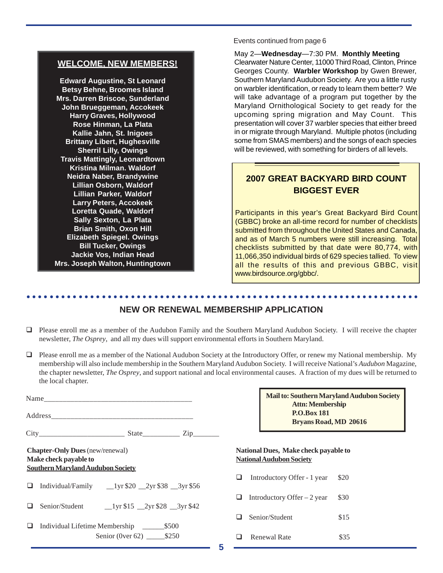#### **WELCOME, NEW MEMBERS!**

**Edward Augustine, St Leonard Betsy Behne, Broomes Island Mrs. Darren Briscoe, Sunderland John Brueggeman, Accokeek Harry Graves, Hollywood Rose Hinman, La Plata Kallie Jahn, St. Inigoes Brittany Libert, Hughesville Sherril Lilly, Owings Travis Mattingly, Leonardtown Kristina Milman. Waldorf Neidra Naber, Brandywine Lillian Osborn, Waldorf Lillian Parker, Waldorf Larry Peters, Accokeek Loretta Quade, Waldorf Sally Sexton, La Plata Brian Smith, Oxon Hill Elizabeth Spiegel. Owings Bill Tucker, Owings Jackie Vos, Indian Head Mrs. Joseph Walton, Huntingtown** Events continued from page 6

May 2—**Wednesday**—7:30 PM. **Monthly Meeting** Clearwater Nature Center, 11000 Third Road, Clinton, Prince Georges County. **Warbler Workshop** by Gwen Brewer, Southern Maryland Audubon Society. Are you a little rusty on warbler identification, or ready to learn them better? We will take advantage of a program put together by the Maryland Ornithological Society to get ready for the upcoming spring migration and May Count. This presentation will cover 37 warbler species that either breed in or migrate through Maryland. Multiple photos (including some from SMAS members) and the songs of each species will be reviewed, with something for birders of all levels.

## **2007 GREAT BACKYARD BIRD COUNT BIGGEST EVER**

Participants in this year's Great Backyard Bird Count (GBBC) broke an all-time record for number of checklists submitted from throughout the United States and Canada, and as of March 5 numbers were still increasing. Total checklists submitted by that date were 80,774, with 11,066,350 individual birds of 629 species tallied. To view all the results of this and previous GBBC, visit www.birdsource.org/gbbc/.

## ○○○○○○○○○○○○○○○○○○○○○○○○○○○○○○○○○○○○○○○○○○○○ ○○○○○○○○○○○○○○○○○○○○○○○○ **NEW OR RENEWAL MEMBERSHIP APPLICATION**

- $\Box$  Please enroll me as a member of the Audubon Family and the Southern Maryland Audubon Society. I will receive the chapter newsletter, *The Osprey*, and all my dues will support environmental efforts in Southern Maryland.
- Please enroll me as a member of the National Audubon Society at the Introductory Offer, or renew my National membership. My membership will also include membership in the Southern Maryland Audubon Society. I will receive National's *Audubon* Magazine, the chapter newsletter, *The Osprey*, and support national and local environmental causes. A fraction of my dues will be returned to the local chapter.

|                                                                                                             | $State$ $Zip$                                             |  |  |
|-------------------------------------------------------------------------------------------------------------|-----------------------------------------------------------|--|--|
| <b>Chapter-Only Dues</b> (new/renewal)<br>Make check payable to<br><b>Southern Maryland Audubon Society</b> |                                                           |  |  |
|                                                                                                             | $\Box$ Individual/Family __1yr \$20 __2yr \$38 __3yr \$56 |  |  |
|                                                                                                             | Senior/Student 1yr \$15 2yr \$28 3yr \$42                 |  |  |
|                                                                                                             |                                                           |  |  |

**Mail to: Southern Maryland Audubon Society Attn: Membership P.O.Box 181 Bryans Road, MD 20616**

#### **National Dues, Make check payable to National Audubon Society**

 $\Box$  Introductory Offer - 1 year \$20 **Introductory Offer** – 2 year  $$30$  $\Box$  Senior/Student \$15 **a** Renewal Rate \$35